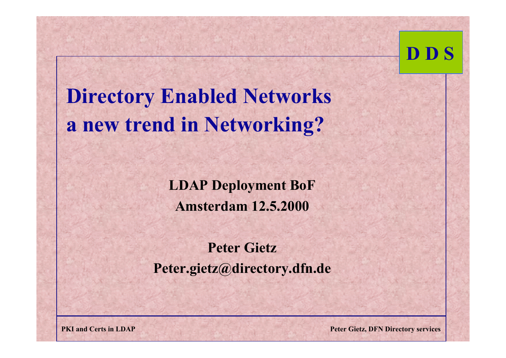

**Directory Enabled Networks a new trend in Networking?**

> **LDAP Deployment BoF Amsterdam 12.5.2000**

**Peter GietzPeter.gietz@directory.dfn.de**

**PKI and Certs in LDAP Peter Gietz, DFN Directory services**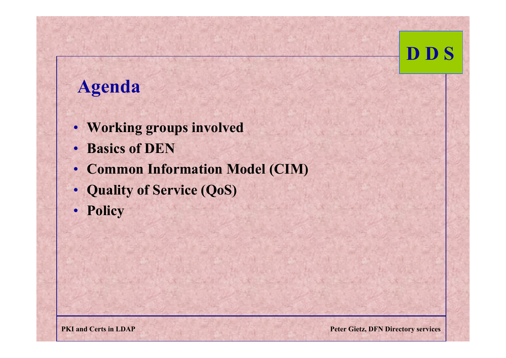#### **Agenda**

- **Working groups involved**
- •**Basics of DEN**
- **Common Information Model (CIM)**
- **Quality of Service (QoS)**
- •**Policy**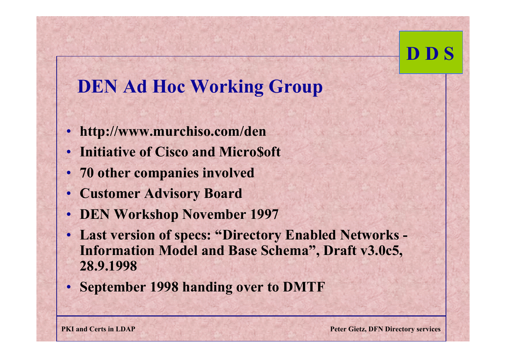### **DEN Ad Hoc Working Group**

- **http://www.murchiso.com/den**
- •**Initiative of Cisco and Micro\$oft**
- **70 other companies involved**
- •**Customer Advisory Board**
- •**DEN Workshop November 1997**
- **Last version of specs: "Directory Enabled Networks - Information Model and Base Schema", Draft v3.0c5, 28.9.1998**
- **September 1998 handing over to DMTF**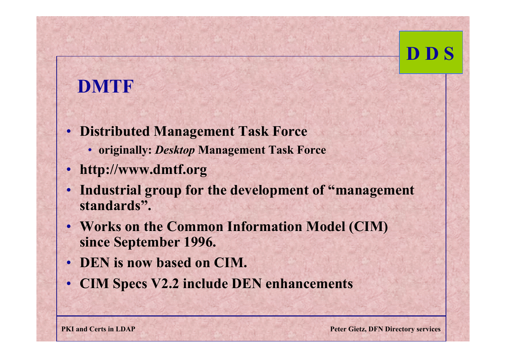### **DMTF**

- **Distributed Management Task Force**
	- **originally:** *Desktop* **Management Task Force**
- •**http://www.dmtf.org**
- **Industrial group for the development of "management standards".**
- **Works on the Common Information Model (CIM) since September 1996.**
- **DEN is now based on CIM.**
- **CIM Specs V2.2 include DEN enhancements**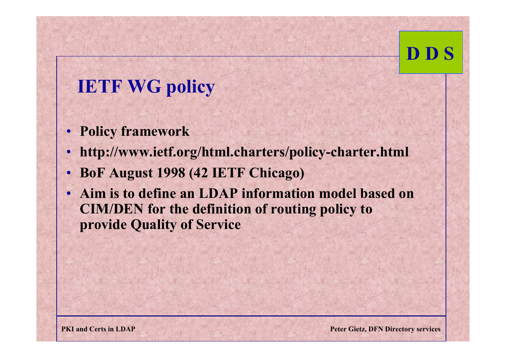### **IETF WG policy**

- **Policy framework**
- •**http://www.ietf.org/html.charters/policy-charter.html**
- •**BoF August 1998 (42 IETF Chicago)**
- • **Aim is to define an LDAP information model based on CIM/DEN for the definition of routing policy to provide Quality of Service**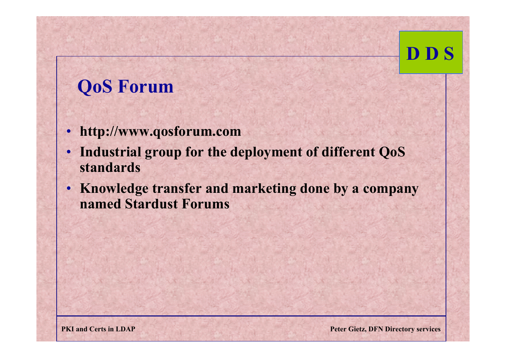### **QoS Forum**

- **http://www.qosforum.com**
- • **Industrial group for the deployment of different QoS standards**
- **Knowledge transfer and marketing done by a company named Stardust Forums**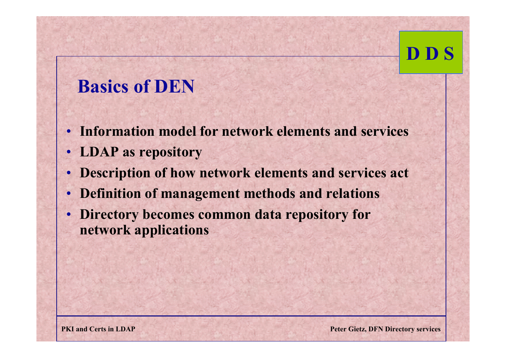### **Basics of DEN**

- **Information model for network elements and services**
- **LDAP as repository**
- •**Description of how network elements and services act**
- •**Definition of management methods and relations**
- • **Directory becomes common data repository for network applications**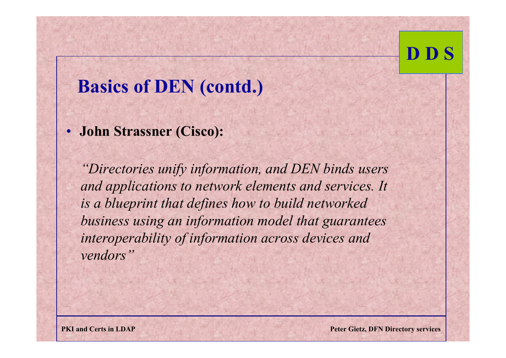#### **Basics of DEN (contd.)**

• **John Strassner (Cisco):**

*"Directories unify information, and DEN binds users and applications to network elements and services. It is a blueprint that defines how to build networked business using an information model that guarantees interoperability of information across devices and vendors"*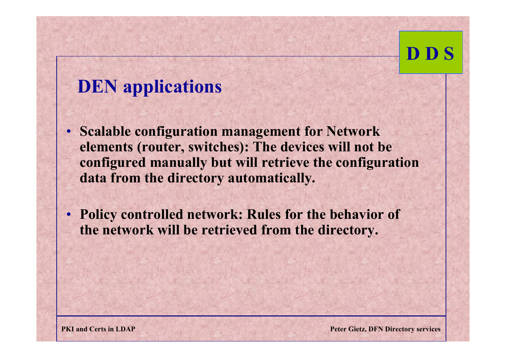### **DEN applications**

- **Scalable configuration management for Network elements (router, switches): The devices will not be configured manually but will retrieve the configuration data from the directory automatically.**
- **Policy controlled network: Rules for the behavior of the network will be retrieved from the directory.**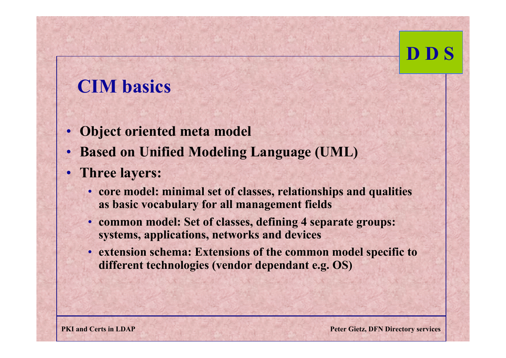#### **CIM basics**

- **Object oriented meta model**
- •**Based on Unified Modeling Language (UML)**
- **Three layers:**
	- **core model: minimal set of classes, relationships and qualities as basic vocabulary for all management fields**
	- **common model: Set of classes, defining 4 separate groups: systems, applications, networks and devices**
	- **extension schema: Extensions of the common model specific to different technologies (vendor dependant e.g. OS)**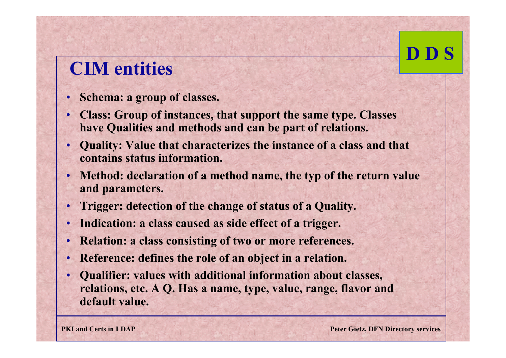### **CIM entities**

- •**Schema: a group of classes.**
- • **Class: Group of instances, that support the same type. Classes have Qualities and methods and can be part of relations.**
- • **Quality: Value that characterizes the instance of a class and that contains status information.**
- **Method: declaration of a method name, the typ of the return value and parameters.**
- •**Trigger: detection of the change of status of a Quality.**
- •**Indication: a class caused as side effect of a trigger.**
- •**Relation: a class consisting of two or more references.**
- •**Reference: defines the role of an object in a relation.**
- • **Qualifier: values with additional information about classes, relations, etc. A Q. Has a name, type, value, range, flavor and default value.**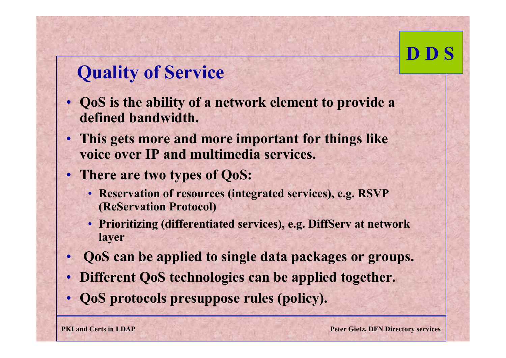### **Quality of Service**

- **QoS is the ability of a network element to provide a defined bandwidth.**
- **This gets more and more important for things like voice over IP and multimedia services.**
- **There are two types of QoS:**
	- **Reservation of resources (integrated services), e.g. RSVP (ReServation Protocol)**
	- **Prioritizing (differentiated services), e.g. DiffServ at network layer**
- •**QoS can be applied to single data packages or groups.**
- **Different QoS technologies can be applied together.**
- •**QoS protocols presuppose rules (policy).**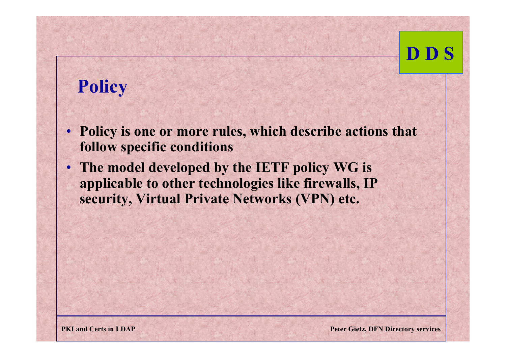## **Policy**

- **Policy is one or more rules, which describe actions that follow specific conditions**
- **The model developed by the IETF policy WG is applicable to other technologies like firewalls, IP security, Virtual Private Networks (VPN) etc.**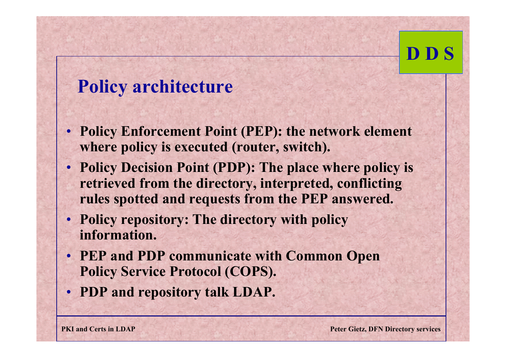#### **Policy architecture**

- **Policy Enforcement Point (PEP): the network element where policy is executed (router, switch).**
- **Policy Decision Point (PDP): The place where policy is retrieved from the directory, interpreted, conflicting rules spotted and requests from the PEP answered.**
- **Policy repository: The directory with policy information.**
- **PEP and PDP communicate with Common Open Policy Service Protocol (COPS).**
- **PDP and repository talk LDAP.**